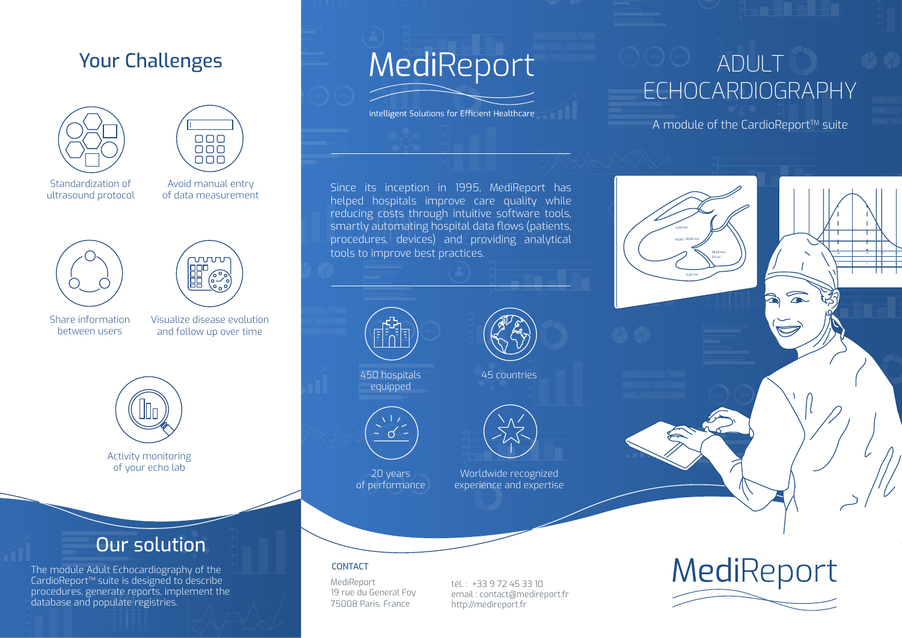## Your Challenges





Standardization of ultrasound protocol

Avoid manual entry of data measurement





Share information between users

Visualize disease evolution and follow up over time



Activity monitoring of your echo lab

## Our solution

The module Adult Echocardiography of the CardioReport™ suite is designed to describe procedures, generate reports, implement the database and populate registries.

# MediReport

Intelligent Solutions for Efficient Healthcare

## ADULT ECHOCARDIOGRAPHY

23 cm<sup>3</sup>

11,00 mm

45,00 / 30,00 mm

11,00 mm

A module of the CardioReport™ suite

-40 -30 -20+ -100 +10 20 +30 -4 -3 -2 -1 0 +1 +2 +3

 $\widehat{\phantom{a}}$ 

Since its inception in 1995, MediReport has helped hospitals improve care quality while reducing costs through intuitive software tools, smartly automating hospital data flows (patients, procedures, devices) and providing analytical tools to improve best practices.



450 hospitals equipped



20 years of performance



45 countries

Worldwide recognized experience and expertise

#### CONTACT

MediReport 19 rue du General Foy 75008 Paris, France

tél. : +33 9 72 45 33 10 email : contact@medireport.fr http://medireport.fr